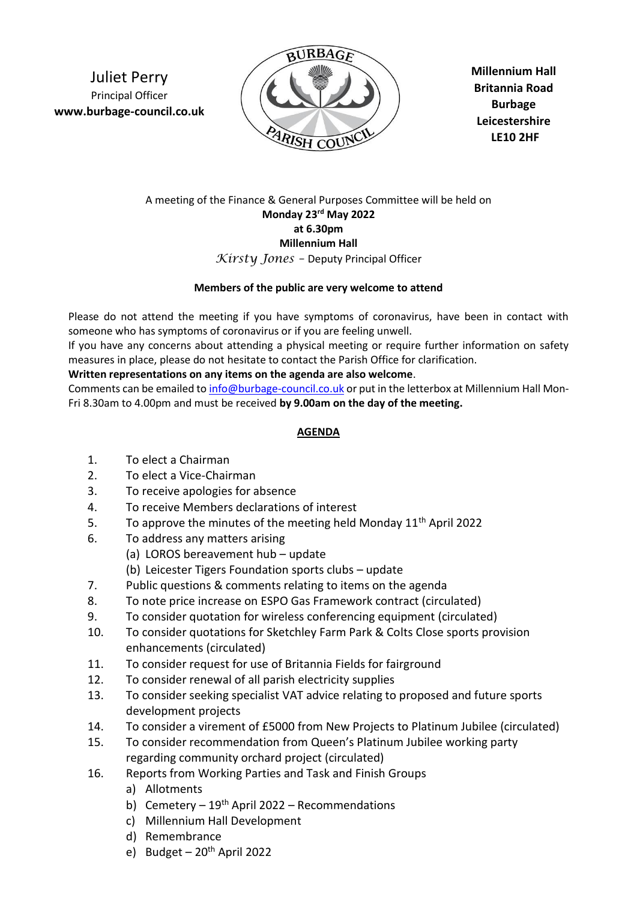Juliet Perry Principal Officer **www.burbage-council.co.uk**



**Millennium Hall Britannia Road Burbage Leicestershire LE10 2HF**

## A meeting of the Finance & General Purposes Committee will be held on **Monday 23 rd May 2022 at 6.30pm Millennium Hall** *Kirsty Jones –* Deputy Principal Officer

## **Members of the public are very welcome to attend**

Please do not attend the meeting if you have symptoms of coronavirus, have been in contact with someone who has symptoms of coronavirus or if you are feeling unwell.

If you have any concerns about attending a physical meeting or require further information on safety measures in place, please do not hesitate to contact the Parish Office for clarification.

## **Written representations on any items on the agenda are also welcome**.

Comments can be emailed t[o info@burbage-council.co.uk](mailto:info@burbage-council.co.uk) or put in the letterbox at Millennium Hall Mon-Fri 8.30am to 4.00pm and must be received **by 9.00am on the day of the meeting.**

## **AGENDA**

- 1. To elect a Chairman
- 2. To elect a Vice-Chairman
- 3. To receive apologies for absence
- 4. To receive Members declarations of interest
- 5. To approve the minutes of the meeting held Monday  $11<sup>th</sup>$  April 2022
- 6. To address any matters arising
	- (a) LOROS bereavement hub update
	- (b) Leicester Tigers Foundation sports clubs update
- 7. Public questions & comments relating to items on the agenda
- 8. To note price increase on ESPO Gas Framework contract (circulated)
- 9. To consider quotation for wireless conferencing equipment (circulated)
- 10. To consider quotations for Sketchley Farm Park & Colts Close sports provision enhancements (circulated)
- 11. To consider request for use of Britannia Fields for fairground
- 12. To consider renewal of all parish electricity supplies
- 13. To consider seeking specialist VAT advice relating to proposed and future sports development projects
- 14. To consider a virement of £5000 from New Projects to Platinum Jubilee (circulated)
- 15. To consider recommendation from Queen's Platinum Jubilee working party regarding community orchard project (circulated)
- 16. Reports from Working Parties and Task and Finish Groups
	- a) Allotments
	- b) Cemetery  $19<sup>th</sup>$  April 2022 Recommendations
	- c) Millennium Hall Development
	- d) Remembrance
	- e) Budget  $20<sup>th</sup>$  April 2022